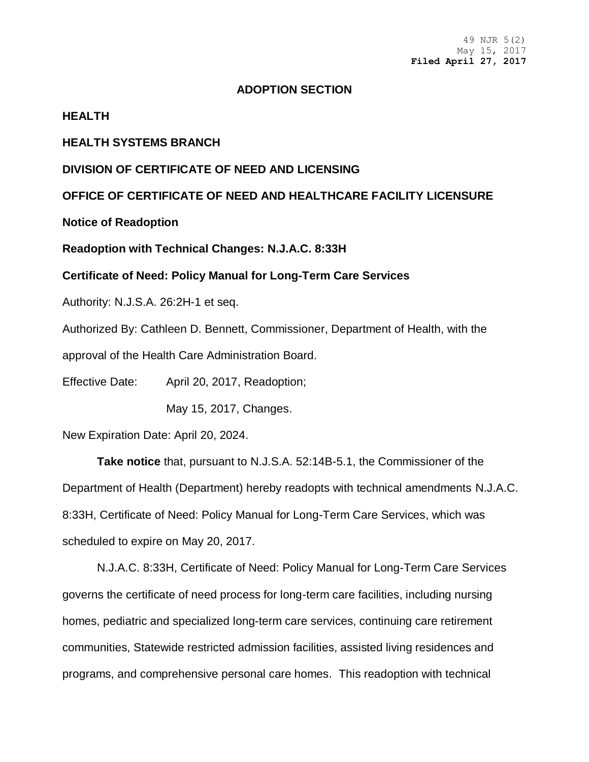# **ADOPTION SECTION**

### **HEALTH**

# **HEALTH SYSTEMS BRANCH**

# **DIVISION OF CERTIFICATE OF NEED AND LICENSING**

**OFFICE OF CERTIFICATE OF NEED AND HEALTHCARE FACILITY LICENSURE**

**Notice of Readoption**

**Readoption with Technical Changes: N.J.A.C. 8:33H**

**Certificate of Need: Policy Manual for Long-Term Care Services** 

Authority: [N.J.S.A. 26:2H-1](https://web.lexisnexis.com/research/buttonTFLink?_m=28e00b7da4d6869d4b0a1757e895dcf0&_xfercite=%3ccite%20cc%3d%22USA%22%3e%3c%21%5bCDATA%5b48%20N.J.R.%202354%28a%29%5d%5d%3e%3c%2fcite%3e&_butType=4&_butStat=0&_butNum=2&_butInline=1&_butinfo=NJCODE%2026%3a2H-1&_fmtstr=FULL&docnum=2&_startdoc=1&wchp=dGLzVzt-zSkAW&_md5=529125abbba19fd8e998ebfbd0a679ed) et seq.

Authorized By: Cathleen D. Bennett, Commissioner, Department of Health, with the

approval of the Health Care Administration Board.

Effective Date: April 20, 2017, Readoption;

May 15, 2017, Changes.

New Expiration Date: April 20, 2024.

 **Take notice** that, pursuant to [N.J.S.A. 52:14B-5.1,](https://web.lexisnexis.com/research/buttonTFLink?_m=28e00b7da4d6869d4b0a1757e895dcf0&_xfercite=%3ccite%20cc%3d%22USA%22%3e%3c%21%5bCDATA%5b48%20N.J.R.%202354%28a%29%5d%5d%3e%3c%2fcite%3e&_butType=4&_butStat=0&_butNum=3&_butInline=1&_butinfo=NJCODE%2052%3a14B-5.1&_fmtstr=FULL&docnum=2&_startdoc=1&wchp=dGLzVzt-zSkAW&_md5=b476460c32bf860a8b4d8c2efae96880) the Commissioner of the Department of Health (Department) hereby readopts with technical amendments [N.J.A.C.](https://web.lexisnexis.com/research/buttonTFLink?_m=28e00b7da4d6869d4b0a1757e895dcf0&_xfercite=%3ccite%20cc%3d%22USA%22%3e%3c%21%5bCDATA%5b48%20N.J.R.%202354%28a%29%5d%5d%3e%3c%2fcite%3e&_butType=4&_butStat=0&_butNum=4&_butInline=1&_butinfo=NJ%20ADMIN%208%3a43J&_fmtstr=FULL&docnum=2&_startdoc=1&wchp=dGLzVzt-zSkAW&_md5=53e4a79e4115433334d77d6c3d97aa04)  [8:33H,](https://web.lexisnexis.com/research/buttonTFLink?_m=28e00b7da4d6869d4b0a1757e895dcf0&_xfercite=%3ccite%20cc%3d%22USA%22%3e%3c%21%5bCDATA%5b48%20N.J.R.%202354%28a%29%5d%5d%3e%3c%2fcite%3e&_butType=4&_butStat=0&_butNum=4&_butInline=1&_butinfo=NJ%20ADMIN%208%3a43J&_fmtstr=FULL&docnum=2&_startdoc=1&wchp=dGLzVzt-zSkAW&_md5=53e4a79e4115433334d77d6c3d97aa04) Certificate of Need: Policy Manual for Long-Term Care Services, which was scheduled to expire on May 20, 2017.

[N.J.A.C. 8:33H,](https://web.lexisnexis.com/research/buttonTFLink?_m=28e00b7da4d6869d4b0a1757e895dcf0&_xfercite=%3ccite%20cc%3d%22USA%22%3e%3c%21%5bCDATA%5b48%20N.J.R.%202354%28a%29%5d%5d%3e%3c%2fcite%3e&_butType=4&_butStat=0&_butNum=5&_butInline=1&_butinfo=NJ%20ADMIN%208%3a43J&_fmtstr=FULL&docnum=2&_startdoc=1&wchp=dGLzVzt-zSkAW&_md5=0bcd441593c1612ccff31739321c9474) Certificate of Need: Policy Manual for Long-Term Care Services governs the certificate of need process for long-term care facilities, including nursing homes, pediatric and specialized long-term care services, continuing care retirement communities, Statewide restricted admission facilities, assisted living residences and programs, and comprehensive personal care homes. This readoption with technical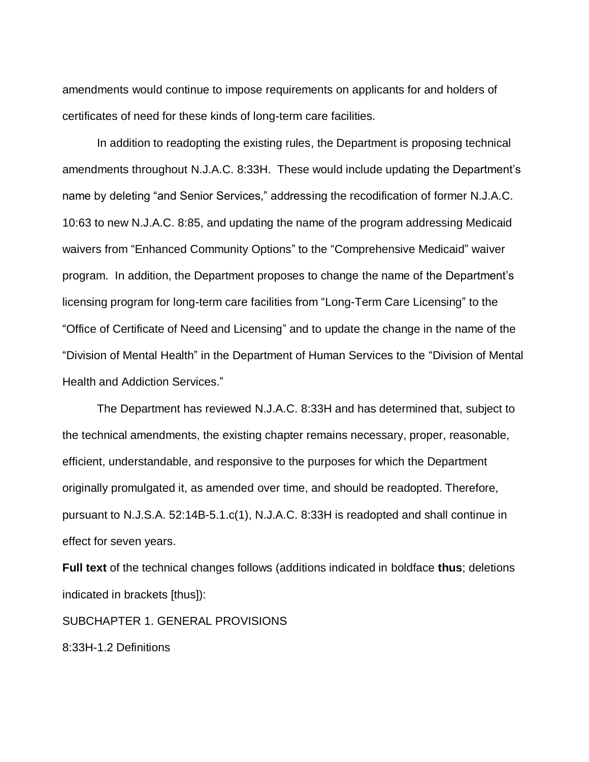amendments would continue to impose requirements on applicants for and holders of certificates of need for these kinds of long-term care facilities.

In addition to readopting the existing rules, the Department is proposing technical amendments throughout [N.J.A.C. 8:33H.](https://web.lexisnexis.com/research/buttonTFLink?_m=28e00b7da4d6869d4b0a1757e895dcf0&_xfercite=%3ccite%20cc%3d%22USA%22%3e%3c%21%5bCDATA%5b48%20N.J.R.%202354%28a%29%5d%5d%3e%3c%2fcite%3e&_butType=4&_butStat=0&_butNum=6&_butInline=1&_butinfo=NJ%20ADMIN%208%3a43J&_fmtstr=FULL&docnum=2&_startdoc=1&wchp=dGLzVzt-zSkAW&_md5=092e7ce53abebe000299ab5e1aa3be88) These would include updating the Department's name by deleting "and Senior Services," addressing the recodification of former N.J.A.C. 10:63 to new N.J.A.C. 8:85, and updating the name of the program addressing Medicaid waivers from "Enhanced Community Options" to the "Comprehensive Medicaid" waiver program. In addition, the Department proposes to change the name of the Department's licensing program for long-term care facilities from "Long-Term Care Licensing" to the "Office of Certificate of Need and Licensing" and to update the change in the name of the "Division of Mental Health" in the Department of Human Services to the "Division of Mental Health and Addiction Services."

The Department has reviewed [N.J.A.C. 8:33H](https://web.lexisnexis.com/research/buttonTFLink?_m=28e00b7da4d6869d4b0a1757e895dcf0&_xfercite=%3ccite%20cc%3d%22USA%22%3e%3c%21%5bCDATA%5b48%20N.J.R.%202354%28a%29%5d%5d%3e%3c%2fcite%3e&_butType=4&_butStat=0&_butNum=9&_butInline=1&_butinfo=NJ%20ADMIN%208%3a43J&_fmtstr=FULL&docnum=2&_startdoc=1&wchp=dGLzVzt-zSkAW&_md5=39568ac8f1286f8690901a7892fbaa67) and has determined that, subject to the technical amendments, the existing chapter remains necessary, proper, reasonable, efficient, understandable, and responsive to the purposes for which the Department originally promulgated it, as amended over time, and should be readopted. Therefore, pursuant to [N.J.S.A. 52:14B-5.1.](https://web.lexisnexis.com/research/buttonTFLink?_m=28e00b7da4d6869d4b0a1757e895dcf0&_xfercite=%3ccite%20cc%3d%22USA%22%3e%3c%21%5bCDATA%5b48%20N.J.R.%202354%28a%29%5d%5d%3e%3c%2fcite%3e&_butType=4&_butStat=0&_butNum=10&_butInline=1&_butinfo=NJCODE%2052%3a14B-5.1&_fmtstr=FULL&docnum=2&_startdoc=1&wchp=dGLzVzt-zSkAW&_md5=17142919a03f42aff2b3008a23e6bff3)c(1), [N.J.A.C. 8:33H](https://web.lexisnexis.com/research/buttonTFLink?_m=28e00b7da4d6869d4b0a1757e895dcf0&_xfercite=%3ccite%20cc%3d%22USA%22%3e%3c%21%5bCDATA%5b48%20N.J.R.%202354%28a%29%5d%5d%3e%3c%2fcite%3e&_butType=4&_butStat=0&_butNum=11&_butInline=1&_butinfo=NJ%20ADMIN%208%3a43J&_fmtstr=FULL&docnum=2&_startdoc=1&wchp=dGLzVzt-zSkAW&_md5=9def15d8dde37c4564ed9442837fb442) is readopted and shall continue in effect for seven years.

**Full text** of the technical changes follows (additions indicated in boldface **thus**; deletions indicated in brackets [thus]):

SUBCHAPTER 1. GENERAL PROVISIONS

8:33H-1.2 Definitions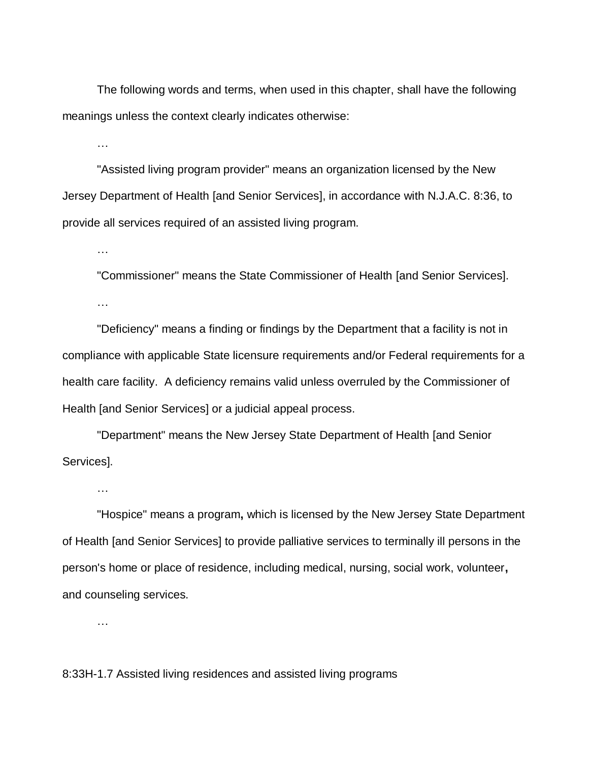The following words and terms, when used in this chapter, shall have the following meanings unless the context clearly indicates otherwise:

…

…

"Assisted living program provider" means an organization licensed by the New Jersey Department of Health [and Senior Services], in accordance with N.J.A.C. 8:36, to provide all services required of an assisted living program.

"Commissioner" means the State Commissioner of Health [and Senior Services]. …

"Deficiency" means a finding or findings by the Department that a facility is not in compliance with applicable State licensure requirements and/or Federal requirements for a health care facility. A deficiency remains valid unless overruled by the Commissioner of Health [and Senior Services] or a judicial appeal process.

"Department" means the New Jersey State Department of Health [and Senior Services].

…

"Hospice" means a program**,** which is licensed by the New Jersey State Department of Health [and Senior Services] to provide palliative services to terminally ill persons in the person's home or place of residence, including medical, nursing, social work, volunteer**,** and counseling services.

…

8:33H-1.7 Assisted living residences and assisted living programs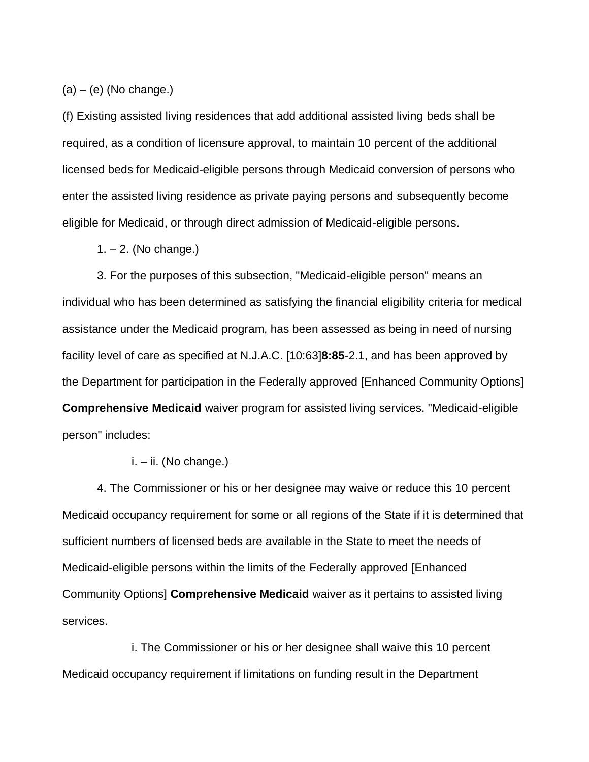$(a) - (e)$  (No change.)

(f) Existing assisted living residences that add additional assisted living beds shall be required, as a condition of licensure approval, to maintain 10 percent of the additional licensed beds for Medicaid-eligible persons through Medicaid conversion of persons who enter the assisted living residence as private paying persons and subsequently become eligible for Medicaid, or through direct admission of Medicaid-eligible persons.

 $1. - 2.$  (No change.)

3. For the purposes of this subsection, "Medicaid-eligible person" means an individual who has been determined as satisfying the financial eligibility criteria for medical assistance under the Medicaid program, has been assessed as being in need of nursing facility level of care as specified at N.J.A.C. [10:63]**8:85**-2.1, and has been approved by the Department for participation in the Federally approved [Enhanced Community Options] **Comprehensive Medicaid** waiver program for assisted living services. "Medicaid-eligible person" includes:

#### i. – ii. (No change.)

4. The Commissioner or his or her designee may waive or reduce this 10 percent Medicaid occupancy requirement for some or all regions of the State if it is determined that sufficient numbers of licensed beds are available in the State to meet the needs of Medicaid-eligible persons within the limits of the Federally approved [Enhanced Community Options] **Comprehensive Medicaid** waiver as it pertains to assisted living services.

i. The Commissioner or his or her designee shall waive this 10 percent Medicaid occupancy requirement if limitations on funding result in the Department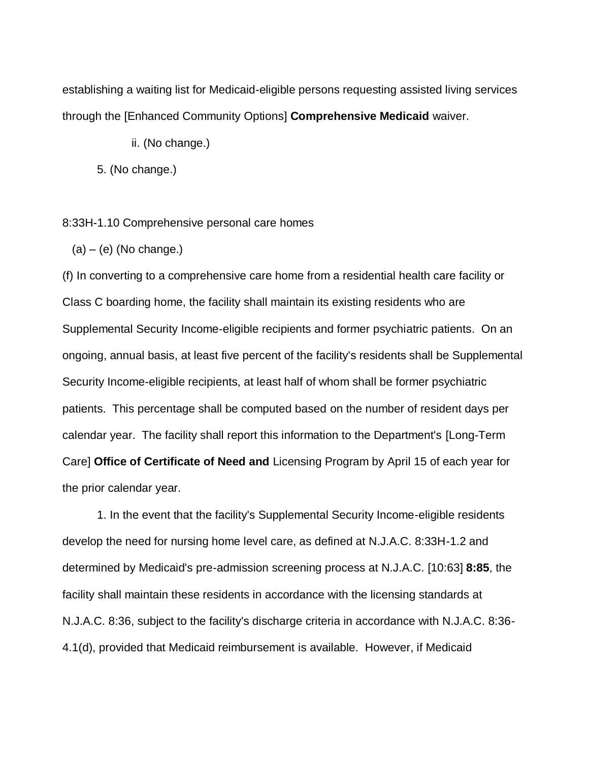establishing a waiting list for Medicaid-eligible persons requesting assisted living services through the [Enhanced Community Options] **Comprehensive Medicaid** waiver.

ii. (No change.)

5. (No change.)

8:33H-1.10 Comprehensive personal care homes

 $(a) - (e)$  (No change.)

(f) In converting to a comprehensive care home from a residential health care facility or Class C boarding home, the facility shall maintain its existing residents who are Supplemental Security Income-eligible recipients and former psychiatric patients. On an ongoing, annual basis, at least five percent of the facility's residents shall be Supplemental Security Income-eligible recipients, at least half of whom shall be former psychiatric patients. This percentage shall be computed based on the number of resident days per calendar year. The facility shall report this information to the Department's [Long-Term Care] **Office of Certificate of Need and** Licensing Program by April 15 of each year for the prior calendar year.

1. In the event that the facility's Supplemental Security Income-eligible residents develop the need for nursing home level care, as defined at N.J.A.C. 8:33H-1.2 and determined by Medicaid's pre-admission screening process at N.J.A.C. [10:63] **8:85**, the facility shall maintain these residents in accordance with the licensing standards at N.J.A.C. 8:36, subject to the facility's discharge criteria in accordance with N.J.A.C. 8:36- 4.1(d), provided that Medicaid reimbursement is available. However, if Medicaid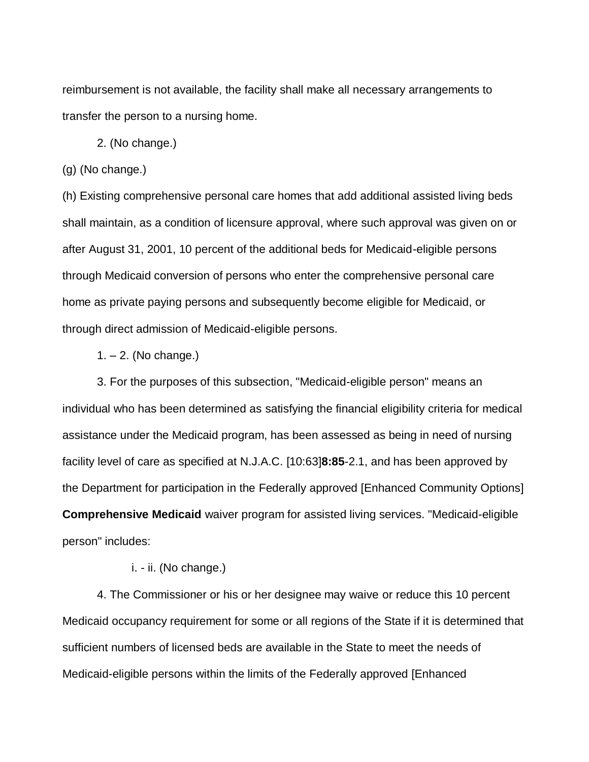reimbursement is not available, the facility shall make all necessary arrangements to transfer the person to a nursing home.

2. (No change.)

(g) (No change.)

(h) Existing comprehensive personal care homes that add additional assisted living beds shall maintain, as a condition of licensure approval, where such approval was given on or after August 31, 2001, 10 percent of the additional beds for Medicaid-eligible persons through Medicaid conversion of persons who enter the comprehensive personal care home as private paying persons and subsequently become eligible for Medicaid, or through direct admission of Medicaid-eligible persons.

### 1. – 2. (No change.)

3. For the purposes of this subsection, "Medicaid-eligible person" means an individual who has been determined as satisfying the financial eligibility criteria for medical assistance under the Medicaid program, has been assessed as being in need of nursing facility level of care as specified at N.J.A.C. [10:63]**8:85**-2.1, and has been approved by the Department for participation in the Federally approved [Enhanced Community Options] **Comprehensive Medicaid** waiver program for assisted living services. "Medicaid-eligible person" includes:

### i. - ii. (No change.)

4. The Commissioner or his or her designee may waive or reduce this 10 percent Medicaid occupancy requirement for some or all regions of the State if it is determined that sufficient numbers of licensed beds are available in the State to meet the needs of Medicaid-eligible persons within the limits of the Federally approved [Enhanced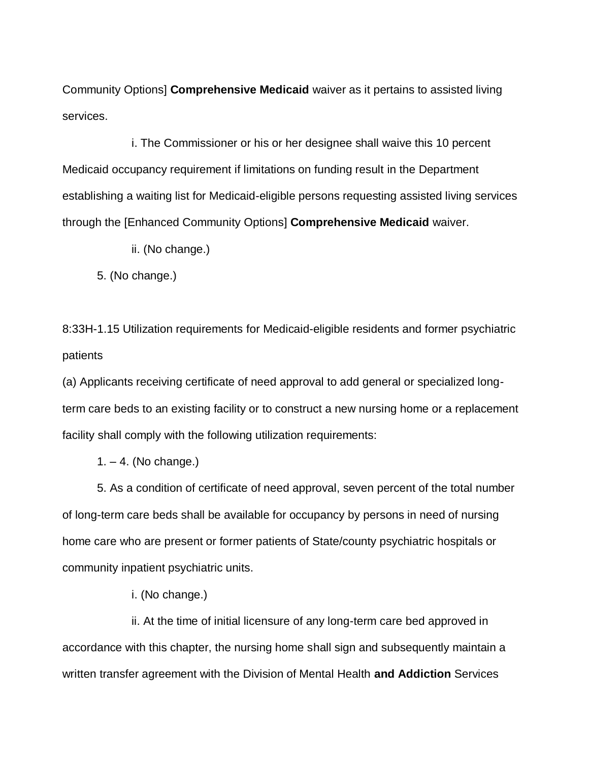Community Options] **Comprehensive Medicaid** waiver as it pertains to assisted living services.

i. The Commissioner or his or her designee shall waive this 10 percent Medicaid occupancy requirement if limitations on funding result in the Department establishing a waiting list for Medicaid-eligible persons requesting assisted living services through the [Enhanced Community Options] **Comprehensive Medicaid** waiver.

ii. (No change.)

5. (No change.)

8:33H-1.15 Utilization requirements for Medicaid-eligible residents and former psychiatric patients

(a) Applicants receiving certificate of need approval to add general or specialized longterm care beds to an existing facility or to construct a new nursing home or a replacement facility shall comply with the following utilization requirements:

 $1. - 4.$  (No change.)

5. As a condition of certificate of need approval, seven percent of the total number of long-term care beds shall be available for occupancy by persons in need of nursing home care who are present or former patients of State/county psychiatric hospitals or community inpatient psychiatric units.

i. (No change.)

ii. At the time of initial licensure of any long-term care bed approved in accordance with this chapter, the nursing home shall sign and subsequently maintain a written transfer agreement with the Division of Mental Health **and Addiction** Services